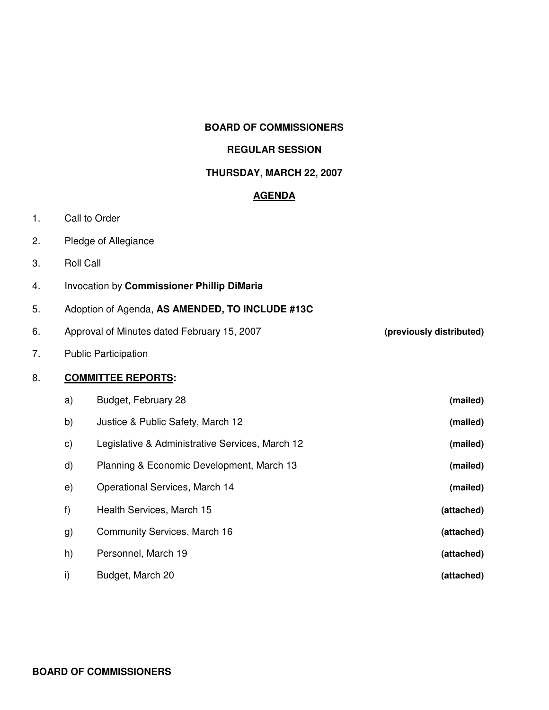#### **BOARD OF COMMISSIONERS**

#### **REGULAR SESSION**

#### **THURSDAY, MARCH 22, 2007**

# **AGENDA**

- 1. Call to Order
- 2. Pledge of Allegiance
- 3. Roll Call
- 4. Invocation by **Commissioner Phillip DiMaria**
- 5. Adoption of Agenda, **AS AMENDED, TO INCLUDE #13C**
- 6. Approval of Minutes dated February 15, 2007 **(previously distributed)**

7. Public Participation

## 8. **COMMITTEE REPORTS:**

| a) | Budget, February 28                             | (mailed)   |
|----|-------------------------------------------------|------------|
| b) | Justice & Public Safety, March 12               | (mailed)   |
| C) | Legislative & Administrative Services, March 12 | (mailed)   |
| d) | Planning & Economic Development, March 13       | (mailed)   |
| e) | Operational Services, March 14                  | (mailed)   |
| f) | Health Services, March 15                       | (attached) |
| g) | Community Services, March 16                    | (attached) |
| h) | Personnel, March 19                             | (attached) |
| i) | Budget, March 20                                | (attached) |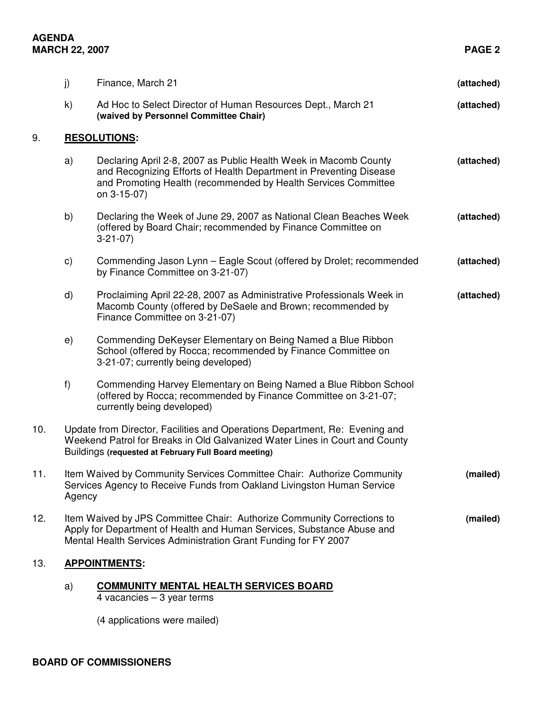## **AGENDA MARCH 22, 2007 PAGE 2**

|     | j) | Finance, March 21                                                                                                                                                                                                               | (attached) |  |  |  |
|-----|----|---------------------------------------------------------------------------------------------------------------------------------------------------------------------------------------------------------------------------------|------------|--|--|--|
|     | k) | Ad Hoc to Select Director of Human Resources Dept., March 21<br>(waived by Personnel Committee Chair)                                                                                                                           | (attached) |  |  |  |
| 9.  |    | <b>RESOLUTIONS:</b>                                                                                                                                                                                                             |            |  |  |  |
|     | a) | Declaring April 2-8, 2007 as Public Health Week in Macomb County<br>and Recognizing Efforts of Health Department in Preventing Disease<br>and Promoting Health (recommended by Health Services Committee<br>on 3-15-07)         | (attached) |  |  |  |
|     | b) | Declaring the Week of June 29, 2007 as National Clean Beaches Week<br>(offered by Board Chair; recommended by Finance Committee on<br>$3-21-07$                                                                                 | (attached) |  |  |  |
|     | c) | Commending Jason Lynn - Eagle Scout (offered by Drolet; recommended<br>by Finance Committee on 3-21-07)                                                                                                                         | (attached) |  |  |  |
|     | d) | Proclaiming April 22-28, 2007 as Administrative Professionals Week in<br>Macomb County (offered by DeSaele and Brown; recommended by<br>Finance Committee on 3-21-07)                                                           | (attached) |  |  |  |
|     | e) | Commending DeKeyser Elementary on Being Named a Blue Ribbon<br>School (offered by Rocca; recommended by Finance Committee on<br>3-21-07; currently being developed)                                                             |            |  |  |  |
|     | f) | Commending Harvey Elementary on Being Named a Blue Ribbon School<br>(offered by Rocca; recommended by Finance Committee on 3-21-07;<br>currently being developed)                                                               |            |  |  |  |
| 10. |    | Update from Director, Facilities and Operations Department, Re: Evening and<br>Weekend Patrol for Breaks in Old Galvanized Water Lines in Court and County<br>Buildings (requested at February Full Board meeting)              |            |  |  |  |
| 11. |    | Item Waived by Community Services Committee Chair: Authorize Community<br>(mailed)<br>Services Agency to Receive Funds from Oakland Livingston Human Service<br>Agency                                                          |            |  |  |  |
| 12. |    | Item Waived by JPS Committee Chair: Authorize Community Corrections to<br>(mailed)<br>Apply for Department of Health and Human Services, Substance Abuse and<br>Mental Health Services Administration Grant Funding for FY 2007 |            |  |  |  |
| 13. |    | <b>APPOINTMENTS:</b>                                                                                                                                                                                                            |            |  |  |  |
|     | a) | <b>COMMUNITY MENTAL HEALTH SERVICES BOARD</b><br>4 vacancies $-3$ year terms                                                                                                                                                    |            |  |  |  |

(4 applications were mailed)